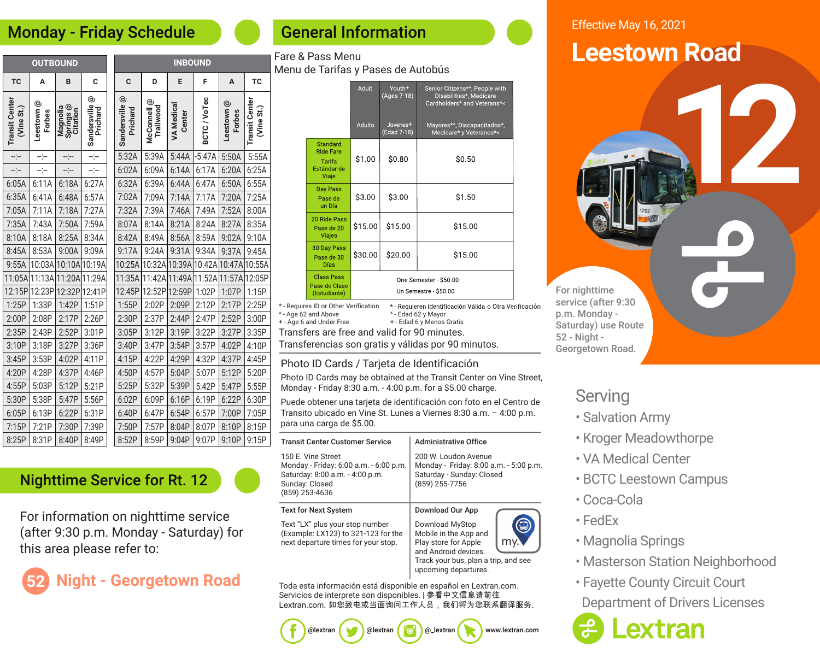#### Monday - Friday Schedule

| <b>OUTBOUND</b>                     |                        |                                   |                     | <b>INBOUND</b>             |                             |                             |            |                        |                                     |  |
|-------------------------------------|------------------------|-----------------------------------|---------------------|----------------------------|-----------------------------|-----------------------------|------------|------------------------|-------------------------------------|--|
| TC                                  | A                      | B                                 | C                   | C                          | D                           | E                           | F          | A                      | <b>TC</b>                           |  |
| <b>Transit Center</b><br>(Vine St.) | Leestown $@$<br>Forbes | Springs @<br>Citation<br>Magnolia | ම<br>Sandersville ( | Sandersville @<br>Prichard | ල<br>Trailwood<br>McConnell | <b>VA Medical</b><br>Center | BCTC/VoTec | Leestown $@$<br>Forbes | <b>Transit Center</b><br>(Vine St.) |  |
| --:--                               | ---                    | ---                               | ---                 | 5:32A                      | 5:39A                       | 5:44A                       | $-5:47A$   | 5:50A                  | 5:55A                               |  |
| --:--                               | --)--                  | ---                               | ÷                   | 6:02A                      | 6:09A                       | 6:14A                       | 6:17A      | 6:20A                  | 6:25A                               |  |
| 6:05A                               | 6:11A                  | 6:18A                             | 6:27A               | 6:32A                      | 6:39A                       | 6:44A                       | 6:47A      | 6:50A                  | 6:55A                               |  |
| 6:35A                               | 6:41A                  | 6:48A                             | 6:57A               | 7:02A                      | 7:09A                       | 7:14A                       | 7:17A      | 7:20A                  | 7:25A                               |  |
| 7:05A                               | 7:11A                  | 7:18A                             | 7:27A               | 7:32A                      | 7:39A                       | 7:46A                       | 7:49A      | 7:52A                  | 8:00A                               |  |
| 7:35A                               | 7:43A                  | 7:50A                             | 7:59A               | 8:07A                      | 8:14A                       | 8:21A                       | 8:24A      | 8:27A                  | 8:35A                               |  |
| 8:10A                               | 8:18A                  | 8:25A                             | 8:34A               | 8:42A                      | 8:49A                       | 8:56A                       | 8:59A      | 9:02A                  | 9:10A                               |  |
| 8:45A                               | 8:53A                  | 9:00A                             | 9:09A               | 9:17A                      | 9:24A                       | 9:31A                       | 9:34A      | 9:37A                  | 9:45A                               |  |
| 9:55A                               | 10:03A                 | 10:10A                            | 10:19A              | 10:25A                     | 10:32A                      | 10:39A                      | 10:42A     | 10:47A                 | 10:55A                              |  |
| 11:05A                              | 11:13A                 | 11:20A                            | 11:29A              | 11:35A                     | 11:42A 11:49A               |                             | 11:52A     | 11:57A                 | 12:05P                              |  |
| 12:15P                              | 12:23P                 | 12:32P                            | 12:41P              | 12:45P                     | 12:52P                      | 12:59P                      | 1:02P      | 1:07P                  | 1:15P                               |  |
| 1:25P                               | 1:33P                  | 1:42P                             | 1:51P               | 1:55P                      | 2:02P                       | 2:09P                       | 2:12P      | 2:17P                  | 2:25P                               |  |
| 2:00P                               | 2:08P                  | 2:17P                             | 2:26P               | 2:30P                      | 2:37P                       | 2:44P                       | 2:47P      | 2:52P                  | 3:00P                               |  |
| 2:35P                               | 2:43P                  | 2:52P                             | 3:01P               | 3:05P                      | 3:12P                       | 3:19P                       | 3:22P      | 3:27P                  | 3:35P                               |  |
| 3:10P                               | 3:18P                  | 3:27P                             | 3:36P               | 3:40P                      | 3:47P                       | 3:54P                       | 3:57P      | 4:02P                  | 4:10P                               |  |
| 3:45P                               | 3:53P                  | 4:02P                             | 4:11P               | 4:15P                      | 4:22P                       | 4:29P                       | 4:32P      | 4:37P                  | 4:45P                               |  |
| 4:20P                               | 4:28P                  | 4:37P                             | 4:46P               | 4:50P                      | 4:57P                       | 5:04P                       | 5:07P      | 5:12P                  | 5:20P                               |  |
| 4:55P                               | 5:03P                  | 5:12P                             | 5:21P               | 5:25P                      | 5:32P                       | 5:39P                       | 5:42P      | 5:47P                  | 5:55P                               |  |
| 5:30P                               | 5:38P                  | 5:47P                             | 5:56P               | 6:02P                      | 6:09P                       | 6:16P                       | 6:19P      | 6:22P                  | 6:30P                               |  |
| 6:05P                               | 6:13P                  | 6:22P                             | 6:31P               | 6:40P                      | 6:47P                       | 6:54P                       | 6:57P      | 7:00P                  | 7:05P                               |  |
| 7:15P                               | 7:21P                  | 7:30P                             | 7:39P               | 7:50P                      | 7:57P                       | 8:04P                       | 8:07P      | 8:10P                  | 8:15P                               |  |
| 8:25P                               | 8:31P                  | 8:40P                             | 8:49P               | 8:52P                      | 8:59P                       | 9:04P                       | 9:07P      | 9:10P                  | 9:15P                               |  |

### General Information

Fare & Pass Menu

| Menu de Tarifas y Pases de Autobús                                                                  |                                                                       |         |                                     |                                                                                          |  |  |
|-----------------------------------------------------------------------------------------------------|-----------------------------------------------------------------------|---------|-------------------------------------|------------------------------------------------------------------------------------------|--|--|
|                                                                                                     |                                                                       | Adult   | Youth <sup>+</sup><br>(Ages 7-18)   | Senior Citizens*^, People with<br>Disabilities*, Medicare<br>Cardholders* and Veterans*< |  |  |
|                                                                                                     |                                                                       | Adulto  | Jovenes <sup>+</sup><br>(Edad 7-18) | Mayores*^, Discapacitados*,<br>Medicare* y Veteranos*<                                   |  |  |
|                                                                                                     | <b>Standard</b><br><b>Ride Fare</b><br>Tarifa<br>Estándar de<br>Viaje | \$1.00  | \$0.80                              | \$0.50                                                                                   |  |  |
|                                                                                                     | Day Pass<br>Pase de<br>un Día                                         | \$3.00  | \$3.00                              | \$1.50                                                                                   |  |  |
|                                                                                                     | 20 Ride Pass<br>Pase de 20<br><b>Viajes</b>                           | \$15.00 | \$15.00                             | \$15.00                                                                                  |  |  |
|                                                                                                     | 30 Day Pass<br>Pase de 30<br><b>Días</b>                              | \$30.00 | \$20.00                             | \$15.00                                                                                  |  |  |
| <b>Class Pass</b><br>One Semester \$50.00<br>Pase de Clase<br>Un Semestre - \$50.00<br>(Estudiante) |                                                                       |         |                                     |                                                                                          |  |  |

\* - Requires ID or Other Verification \* Requieren Identificación Válida o Otra Verificación ^ - Age 62 and Above ^ - Edad 62 y Mayor + - Age 6 and Under Free + - Edad 6 y Menos GratisTransfers are free and valid for 90 minutes.

Transferencias son gratis y válidas por 90 minutos.

#### Photo ID Cards / Tarjeta de Identificación

Photo ID Cards may be obtained at the Transit Center on Vine Street, Monday - Friday 8:30 a.m. - 4:00 p.m. for a \$5.00 charge.

Puede obtener una tarjeta de identificación con foto en el Centro de Transito ubicado en Vine St. Lunes a Viernes 8:30 a.m. – 4:00 p.m. para una carga de \$5.00.

| <b>Transit Center Customer Service</b>                                                                                              | <b>Administrative Office</b>                                                                                                                             |  |  |  |  |
|-------------------------------------------------------------------------------------------------------------------------------------|----------------------------------------------------------------------------------------------------------------------------------------------------------|--|--|--|--|
| 150 E. Vine Street<br>Monday - Friday: 6:00 a.m. - 6:00 p.m.<br>Saturday: 8:00 a.m. - 4:00 p.m.<br>Sunday: Closed<br>(859) 253-4636 | 200 W. Loudon Avenue<br>Monday - Friday: 8:00 a.m. - 5:00 p.m.<br>Saturday - Sunday: Closed<br>(859) 255-7756                                            |  |  |  |  |
| Text for Next System                                                                                                                | Download Our App                                                                                                                                         |  |  |  |  |
| Text "LX" plus your stop number<br>(Example: LX123) to 321-123 for the<br>next departure times for your stop.                       | Download MyStop<br>Mobile in the App and<br>Play store for Apple<br>and Android devices.<br>Track your bus, plan a trip, and see<br>upcoming departures. |  |  |  |  |

Toda esta información está disponible en español en Lextran.com. Servicios de interprete son disponibles. | 参看中文信息请前往 Lextran.com. 如您致电或当面询问工作人员, 我们将为您联系翻译服务.

#### Effective May 16, 2021

# **Leestown Road**

**12**

For nighttime service (after 9:30 p.m. Monday - Saturday) use Route 52 - Night - Georgetown Road.

#### **Serving**

- Salvation Army
- Kroger Meadowthorpe
- VA Medical Center
- BCTC Leestown Campus
- Coca-Cola
- FedEx
- Magnolia Springs
- Masterson Station Neighborhood
- Fayette County Circuit Court Department of Drivers Licenses



#### Nighttime Service for Rt. 12

For information on nighttime service (after 9:30 p.m. Monday - Saturday) for this area please refer to:

# **Iight - Georgetown Road**